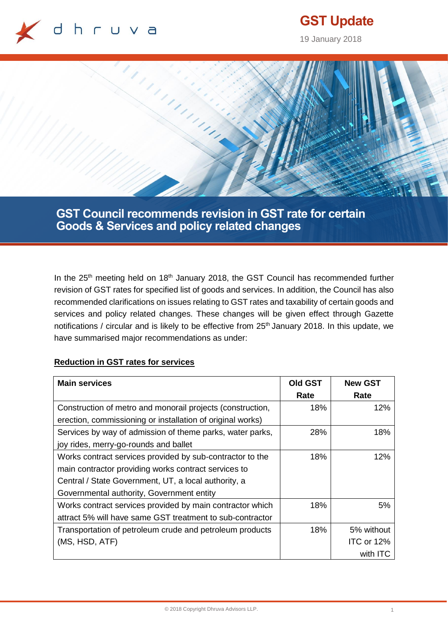

# **GST Update**

19 January 2018



**GST Council recommends revision in GST rate for certain Goods & Services and policy related changes**

In the  $25<sup>th</sup>$  meeting held on  $18<sup>th</sup>$  January 2018, the GST Council has recommended further revision of GST rates for specified list of goods and services. In addition, the Council has also recommended clarifications on issues relating to GST rates and taxability of certain goods and services and policy related changes. These changes will be given effect through Gazette notifications / circular and is likely to be effective from 25<sup>th</sup> January 2018. In this update, we have summarised major recommendations as under:

#### **Reduction in GST rates for services**

| <b>Main services</b>                                       | Old GST | <b>New GST</b> |
|------------------------------------------------------------|---------|----------------|
|                                                            | Rate    | Rate           |
| Construction of metro and monorail projects (construction, | 18%     | 12%            |
| erection, commissioning or installation of original works) |         |                |
| Services by way of admission of theme parks, water parks,  | 28%     | 18%            |
| joy rides, merry-go-rounds and ballet                      |         |                |
| Works contract services provided by sub-contractor to the  | 18%     | 12%            |
| main contractor providing works contract services to       |         |                |
| Central / State Government, UT, a local authority, a       |         |                |
| Governmental authority, Government entity                  |         |                |
| Works contract services provided by main contractor which  | 18%     | 5%             |
| attract 5% will have same GST treatment to sub-contractor  |         |                |
| Transportation of petroleum crude and petroleum products   | 18%     | 5% without     |
| (MS, HSD, ATF)                                             |         | ITC or 12%     |
|                                                            |         | with ITC       |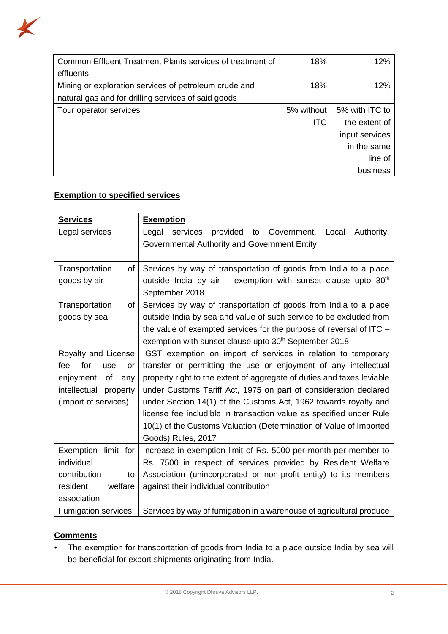

| Common Effluent Treatment Plants services of treatment of | 18%        | 12%            |
|-----------------------------------------------------------|------------|----------------|
| effluents                                                 |            |                |
| Mining or exploration services of petroleum crude and     | 18%        | 12%            |
| natural gas and for drilling services of said goods       |            |                |
| Tour operator services                                    | 5% without | 5% with ITC to |
|                                                           | <b>ITC</b> | the extent of  |
|                                                           |            | input services |
|                                                           |            | in the same    |
|                                                           |            | line of        |
|                                                           |            | business       |

## **Exemption to specified services**

| <b>Services</b>             | <b>Exemption</b>                                                       |  |  |
|-----------------------------|------------------------------------------------------------------------|--|--|
| Legal services              | Legal<br>provided to<br>Government,<br>Local<br>Authority,<br>services |  |  |
|                             | Governmental Authority and Government Entity                           |  |  |
|                             |                                                                        |  |  |
| Transportation<br>οf        | Services by way of transportation of goods from India to a place       |  |  |
| goods by air                | outside India by air – exemption with sunset clause upto $30th$        |  |  |
|                             | September 2018                                                         |  |  |
| Transportation<br><b>of</b> | Services by way of transportation of goods from India to a place       |  |  |
| goods by sea                | outside India by sea and value of such service to be excluded from     |  |  |
|                             | the value of exempted services for the purpose of reversal of ITC $-$  |  |  |
|                             | exemption with sunset clause upto 30 <sup>th</sup> September 2018      |  |  |
| Royalty and License         | IGST exemption on import of services in relation to temporary          |  |  |
| for<br>fee.<br>use<br>or    | transfer or permitting the use or enjoyment of any intellectual        |  |  |
| enjoyment<br>of<br>any      | property right to the extent of aggregate of duties and taxes leviable |  |  |
| intellectual property       | under Customs Tariff Act, 1975 on part of consideration declared       |  |  |
| (import of services)        | under Section 14(1) of the Customs Act, 1962 towards royalty and       |  |  |
|                             | license fee includible in transaction value as specified under Rule    |  |  |
|                             | 10(1) of the Customs Valuation (Determination of Value of Imported     |  |  |
|                             | Goods) Rules, 2017                                                     |  |  |
| Exemption limit for         | Increase in exemption limit of Rs. 5000 per month per member to        |  |  |
| individual                  | Rs. 7500 in respect of services provided by Resident Welfare           |  |  |
| contribution<br>to          | Association (unincorporated or non-profit entity) to its members       |  |  |
| welfare<br>resident         | against their individual contribution                                  |  |  |
| association                 |                                                                        |  |  |
| <b>Fumigation services</b>  | Services by way of fumigation in a warehouse of agricultural produce   |  |  |

### **Comments**

• The exemption for transportation of goods from India to a place outside India by sea will be beneficial for export shipments originating from India.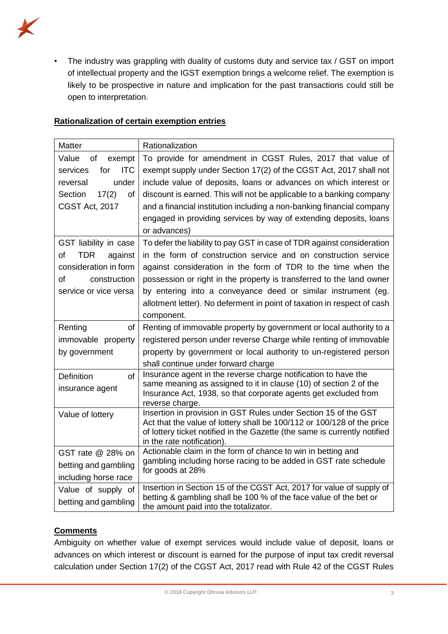

• The industry was grappling with duality of customs duty and service tax / GST on import of intellectual property and the IGST exemption brings a welcome relief. The exemption is likely to be prospective in nature and implication for the past transactions could still be open to interpretation.

| <b>Matter</b>                                                                                                                | Rationalization                                                                                                                                                                                                                                                                                                                                                                                                                              |
|------------------------------------------------------------------------------------------------------------------------------|----------------------------------------------------------------------------------------------------------------------------------------------------------------------------------------------------------------------------------------------------------------------------------------------------------------------------------------------------------------------------------------------------------------------------------------------|
| Value<br>of<br>exempt<br><b>ITC</b><br>services<br>for<br>under<br>reversal<br>Section<br>17(2)<br>of<br>CGST Act, 2017      | To provide for amendment in CGST Rules, 2017 that value of<br>exempt supply under Section 17(2) of the CGST Act, 2017 shall not<br>include value of deposits, loans or advances on which interest or<br>discount is earned. This will not be applicable to a banking company<br>and a financial institution including a non-banking financial company                                                                                        |
|                                                                                                                              | engaged in providing services by way of extending deposits, loans<br>or advances)                                                                                                                                                                                                                                                                                                                                                            |
| GST liability in case<br><b>TDR</b><br>of<br>against<br>consideration in form<br>0f<br>construction<br>service or vice versa | To defer the liability to pay GST in case of TDR against consideration<br>in the form of construction service and on construction service<br>against consideration in the form of TDR to the time when the<br>possession or right in the property is transferred to the land owner<br>by entering into a conveyance deed or similar instrument (eg.<br>allotment letter). No deferment in point of taxation in respect of cash<br>component. |
| Renting<br>of                                                                                                                | Renting of immovable property by government or local authority to a                                                                                                                                                                                                                                                                                                                                                                          |
| immovable property                                                                                                           | registered person under reverse Charge while renting of immovable                                                                                                                                                                                                                                                                                                                                                                            |
| by government                                                                                                                | property by government or local authority to un-registered person                                                                                                                                                                                                                                                                                                                                                                            |
|                                                                                                                              | shall continue under forward charge                                                                                                                                                                                                                                                                                                                                                                                                          |
| <b>Definition</b><br>of<br>insurance agent                                                                                   | Insurance agent in the reverse charge notification to have the<br>same meaning as assigned to it in clause (10) of section 2 of the<br>Insurance Act, 1938, so that corporate agents get excluded from<br>reverse charge.                                                                                                                                                                                                                    |
| Value of lottery                                                                                                             | Insertion in provision in GST Rules under Section 15 of the GST<br>Act that the value of lottery shall be 100/112 or 100/128 of the price<br>of lottery ticket notified in the Gazette (the same is currently notified<br>in the rate notification).                                                                                                                                                                                         |
| GST rate @ 28% on                                                                                                            | Actionable claim in the form of chance to win in betting and                                                                                                                                                                                                                                                                                                                                                                                 |
| betting and gambling                                                                                                         | gambling including horse racing to be added in GST rate schedule<br>for goods at 28%                                                                                                                                                                                                                                                                                                                                                         |
| including horse race                                                                                                         |                                                                                                                                                                                                                                                                                                                                                                                                                                              |
| Value of supply of<br>betting and gambling                                                                                   | Insertion in Section 15 of the CGST Act, 2017 for value of supply of<br>betting & gambling shall be 100 % of the face value of the bet or<br>the amount paid into the totalizator.                                                                                                                                                                                                                                                           |

### **Rationalization of certain exemption entries**

### **Comments**

Ambiguity on whether value of exempt services would include value of deposit, loans or advances on which interest or discount is earned for the purpose of input tax credit reversal calculation under Section 17(2) of the CGST Act, 2017 read with Rule 42 of the CGST Rules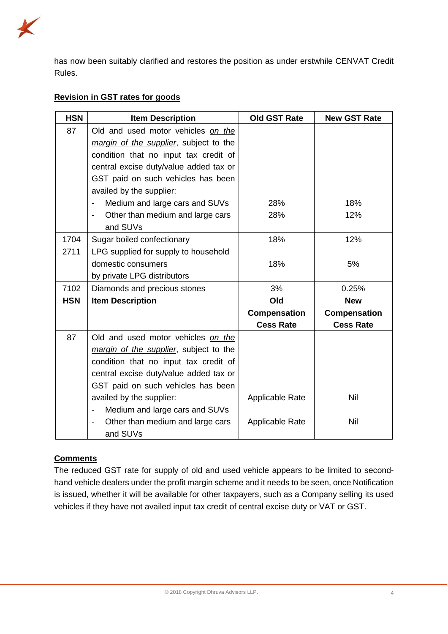

has now been suitably clarified and restores the position as under erstwhile CENVAT Credit Rules.

### **Revision in GST rates for goods**

| <b>HSN</b> | <b>Item Description</b>                                    | <b>Old GST Rate</b>    | <b>New GST Rate</b> |
|------------|------------------------------------------------------------|------------------------|---------------------|
| 87         | Old and used motor vehicles on the                         |                        |                     |
|            | margin of the supplier, subject to the                     |                        |                     |
|            | condition that no input tax credit of                      |                        |                     |
|            | central excise duty/value added tax or                     |                        |                     |
|            | GST paid on such vehicles has been                         |                        |                     |
|            | availed by the supplier:                                   |                        |                     |
|            | Medium and large cars and SUVs<br>-                        | 28%                    | 18%                 |
|            | Other than medium and large cars                           | 28%                    | 12%                 |
|            | and SUVs                                                   |                        |                     |
| 1704       | Sugar boiled confectionary                                 | 18%                    | 12%                 |
| 2711       | LPG supplied for supply to household                       |                        |                     |
|            | domestic consumers                                         | 18%                    | 5%                  |
|            | by private LPG distributors                                |                        |                     |
| 7102       | Diamonds and precious stones                               | 3%                     | 0.25%               |
| <b>HSN</b> | <b>Item Description</b>                                    | Old                    | <b>New</b>          |
|            |                                                            | Compensation           | Compensation        |
|            |                                                            | <b>Cess Rate</b>       | <b>Cess Rate</b>    |
| 87         | Old and used motor vehicles on the                         |                        |                     |
|            | margin of the supplier, subject to the                     |                        |                     |
|            | condition that no input tax credit of                      |                        |                     |
|            | central excise duty/value added tax or                     |                        |                     |
|            | GST paid on such vehicles has been                         |                        |                     |
|            | availed by the supplier:                                   | <b>Applicable Rate</b> | <b>Nil</b>          |
|            | Medium and large cars and SUVs<br>$\overline{\phantom{a}}$ |                        |                     |
|            | Other than medium and large cars                           | Applicable Rate        | Nil                 |
|            | and SUVs                                                   |                        |                     |

### **Comments**

The reduced GST rate for supply of old and used vehicle appears to be limited to secondhand vehicle dealers under the profit margin scheme and it needs to be seen, once Notification is issued, whether it will be available for other taxpayers, such as a Company selling its used vehicles if they have not availed input tax credit of central excise duty or VAT or GST.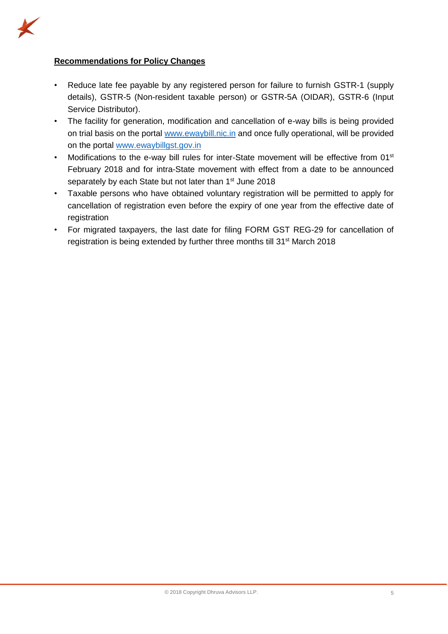

### **Recommendations for Policy Changes**

- Reduce late fee payable by any registered person for failure to furnish GSTR-1 (supply details), GSTR-5 (Non-resident taxable person) or GSTR-5A (OIDAR), GSTR-6 (Input Service Distributor).
- The facility for generation, modification and cancellation of e-way bills is being provided on trial basis on the portal [www.ewaybill.nic.in](http://www.ewaybill.nic.in/) and once fully operational, will be provided on the portal [www.ewaybillgst.gov.in](http://www.ewaybillgst.gov.in/)
- Modifications to the e-way bill rules for inter-State movement will be effective from 01<sup>st</sup> February 2018 and for intra-State movement with effect from a date to be announced separately by each State but not later than 1<sup>st</sup> June 2018
- Taxable persons who have obtained voluntary registration will be permitted to apply for cancellation of registration even before the expiry of one year from the effective date of registration
- For migrated taxpayers, the last date for filing FORM GST REG-29 for cancellation of registration is being extended by further three months till 31<sup>st</sup> March 2018